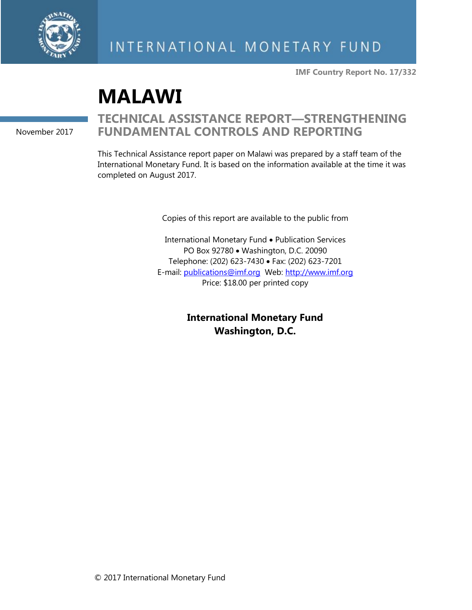

**IMF Country Report No. 17/332**

# **MALAWI**

November 2017

## **TECHNICAL ASSISTANCE REPORT—STRENGTHENING FUNDAMENTAL CONTROLS AND REPORTING**

This Technical Assistance report paper on Malawi was prepared by a staff team of the International Monetary Fund. It is based on the information available at the time it was completed on August 2017.

Copies of this report are available to the public from

International Monetary Fund • Publication Services PO Box 92780 • Washington, D.C. 20090 Telephone: (202) 623-7430 • Fax: (202) 623-7201 E-mail: [publications@imf.org](mailto:publications@imf.org) Web: [http://www.imf.org](http://www.imf.org/) Price: \$18.00 per printed copy

> **International Monetary Fund Washington, D.C.**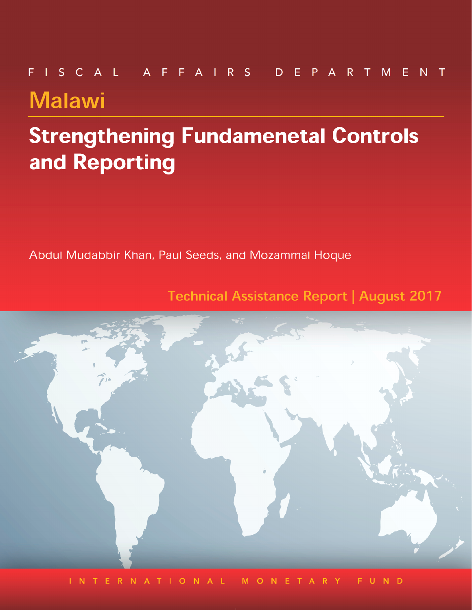# FISCAL AFFAIRS DEPARTMENT **Malawi**

# **Strengthening Fundamenetal Controls** and Reporting

Abdul Mudabbir Khan, Paul Seeds, and Mozammal Hoque

**Technical Assistance Report | August 2017** 



INTERNATIONA M O N E F U N D R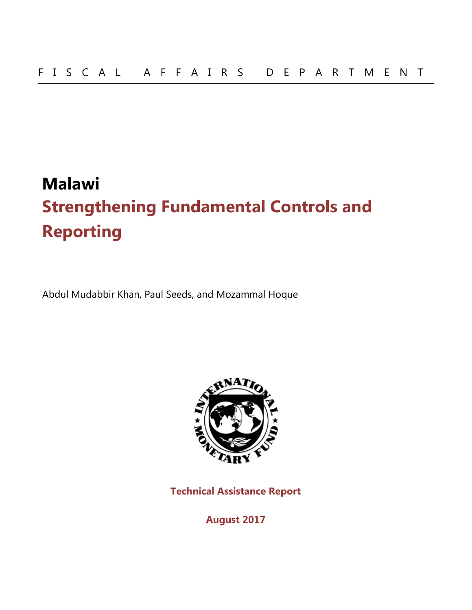# **Malawi Strengthening Fundamental Controls and Reporting**

Abdul Mudabbir Khan, Paul Seeds, and Mozammal Hoque



**Technical Assistance Report**

**August 2017**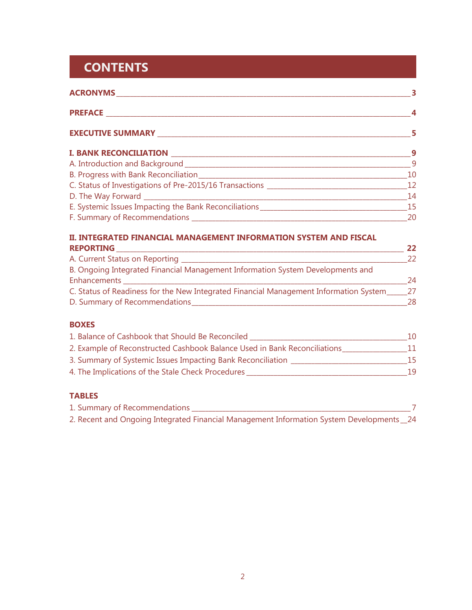## **CONTENTS**

|                                    | $\overline{4}$  |
|------------------------------------|-----------------|
| EXECUTIVE SUMMARY <b>EXECUTIVE</b> | 5               |
|                                    |                 |
|                                    | $\overline{9}$  |
|                                    |                 |
|                                    |                 |
|                                    | $\overline{14}$ |
|                                    |                 |
|                                    | $\sim$ 20       |

#### **II. INTEGRATED FINANCIAL MANAGEMENT INFORMATION SYSTEM AND FISCAL REPORTING \_\_\_\_\_\_\_\_\_\_\_\_\_\_\_\_\_\_\_\_\_\_\_\_\_\_\_\_\_\_\_\_\_\_\_\_\_\_\_\_\_\_\_\_\_\_\_\_\_\_\_\_\_\_\_\_\_\_\_\_\_\_\_\_\_\_\_\_\_\_\_\_\_\_\_\_\_\_\_\_\_\_\_\_ 22**

| B. Ongoing Integrated Financial Management Information System Developments and        |     |
|---------------------------------------------------------------------------------------|-----|
| Enhancements                                                                          | 24  |
| C. Status of Readiness for the New Integrated Financial Management Information System | -27 |
| D. Summary of Recommendations_                                                        | 28  |

#### **BOXES**

| 1. Balance of Cashbook that Should Be Reconciled                          | 10 |
|---------------------------------------------------------------------------|----|
| 2. Example of Reconstructed Cashbook Balance Used in Bank Reconciliations | 11 |
| 3. Summary of Systemic Issues Impacting Bank Reconciliation               | 15 |
| 4. The Implications of the Stale Check Procedures                         | 19 |

### **TABLES**

| 1. Summary of Recommendations                                                            |  |
|------------------------------------------------------------------------------------------|--|
| 2. Recent and Ongoing Integrated Financial Management Information System Developments_24 |  |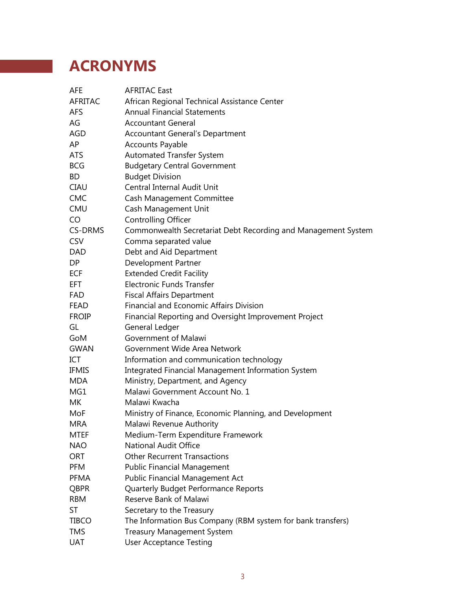# **ACRONYMS**

| <b>AFE</b>     | <b>AFRITAC East</b>                                           |
|----------------|---------------------------------------------------------------|
| <b>AFRITAC</b> | African Regional Technical Assistance Center                  |
| <b>AFS</b>     | <b>Annual Financial Statements</b>                            |
| AG             | <b>Accountant General</b>                                     |
| AGD            | Accountant General's Department                               |
| AP             | <b>Accounts Payable</b>                                       |
| <b>ATS</b>     | <b>Automated Transfer System</b>                              |
| <b>BCG</b>     | <b>Budgetary Central Government</b>                           |
| BD             | <b>Budget Division</b>                                        |
| <b>CIAU</b>    | Central Internal Audit Unit                                   |
| <b>CMC</b>     | Cash Management Committee                                     |
| <b>CMU</b>     | Cash Management Unit                                          |
| CO             | <b>Controlling Officer</b>                                    |
| <b>CS-DRMS</b> | Commonwealth Secretariat Debt Recording and Management System |
| <b>CSV</b>     | Comma separated value                                         |
| DAD.           | Debt and Aid Department                                       |
| DP.            | Development Partner                                           |
| <b>ECF</b>     | <b>Extended Credit Facility</b>                               |
| <b>EFT</b>     | Electronic Funds Transfer                                     |
| <b>FAD</b>     | <b>Fiscal Affairs Department</b>                              |
| <b>FEAD</b>    | Financial and Economic Affairs Division                       |
| <b>FROIP</b>   | Financial Reporting and Oversight Improvement Project         |
| GL             | General Ledger                                                |
| GoM            | Government of Malawi                                          |
| GWAN           | Government Wide Area Network                                  |
| ICT            | Information and communication technology                      |
| <b>IFMIS</b>   | <b>Integrated Financial Management Information System</b>     |
| <b>MDA</b>     | Ministry, Department, and Agency                              |
| MG1            | Malawi Government Account No. 1                               |
| МK             | Malawi Kwacha                                                 |
| MoF            | Ministry of Finance, Economic Planning, and Development       |
| <b>MRA</b>     | Malawi Revenue Authority                                      |
| <b>MTEF</b>    | Medium-Term Expenditure Framework                             |
| <b>NAO</b>     | National Audit Office                                         |
| <b>ORT</b>     | <b>Other Recurrent Transactions</b>                           |
| <b>PFM</b>     | <b>Public Financial Management</b>                            |
| <b>PFMA</b>    | Public Financial Management Act                               |
| <b>QBPR</b>    | Quarterly Budget Performance Reports                          |
| <b>RBM</b>     | Reserve Bank of Malawi                                        |
| ST             | Secretary to the Treasury                                     |
| <b>TIBCO</b>   | The Information Bus Company (RBM system for bank transfers)   |
| TMS            | <b>Treasury Management System</b>                             |
| UAT            | <b>User Acceptance Testing</b>                                |
|                |                                                               |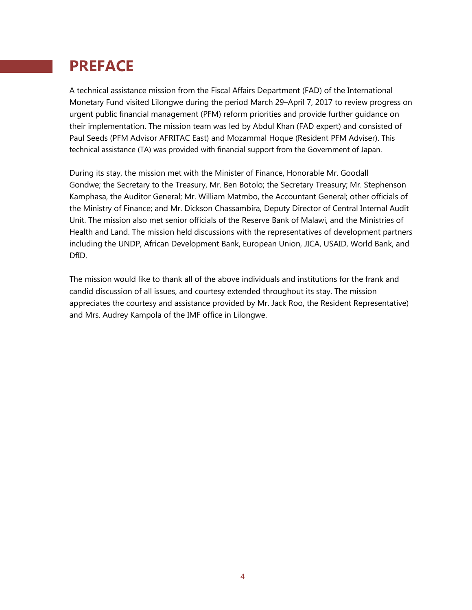## **PREFACE**

A technical assistance mission from the Fiscal Affairs Department (FAD) of the International Monetary Fund visited Lilongwe during the period March 29–April 7, 2017 to review progress on urgent public financial management (PFM) reform priorities and provide further guidance on their implementation. The mission team was led by Abdul Khan (FAD expert) and consisted of Paul Seeds (PFM Advisor AFRITAC East) and Mozammal Hoque (Resident PFM Adviser). This technical assistance (TA) was provided with financial support from the Government of Japan.

During its stay, the mission met with the Minister of Finance, Honorable Mr. Goodall Gondwe; the Secretary to the Treasury, Mr. Ben Botolo; the Secretary Treasury; Mr. Stephenson Kamphasa, the Auditor General; Mr. William Matmbo, the Accountant General; other officials of the Ministry of Finance; and Mr. Dickson Chassambira, Deputy Director of Central Internal Audit Unit. The mission also met senior officials of the Reserve Bank of Malawi, and the Ministries of Health and Land. The mission held discussions with the representatives of development partners including the UNDP, African Development Bank, European Union, JICA, USAID, World Bank, and DfID.

The mission would like to thank all of the above individuals and institutions for the frank and candid discussion of all issues, and courtesy extended throughout its stay. The mission appreciates the courtesy and assistance provided by Mr. Jack Roo, the Resident Representative) and Mrs. Audrey Kampola of the IMF office in Lilongwe.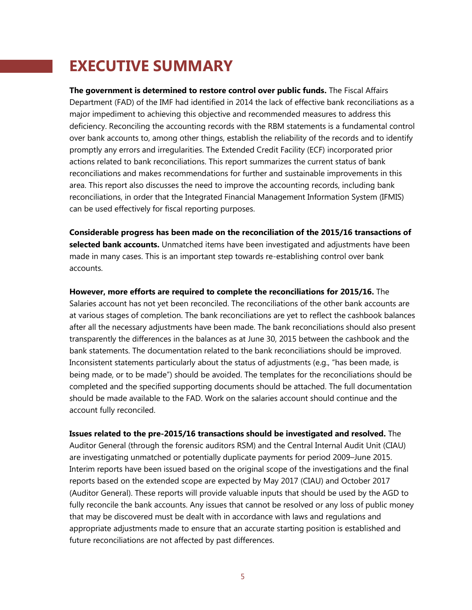## **EXECUTIVE SUMMARY**

**The government is determined to restore control over public funds.** The Fiscal Affairs Department (FAD) of the IMF had identified in 2014 the lack of effective bank reconciliations as a major impediment to achieving this objective and recommended measures to address this deficiency. Reconciling the accounting records with the RBM statements is a fundamental control over bank accounts to, among other things, establish the reliability of the records and to identify promptly any errors and irregularities. The Extended Credit Facility (ECF) incorporated prior actions related to bank reconciliations. This report summarizes the current status of bank reconciliations and makes recommendations for further and sustainable improvements in this area. This report also discusses the need to improve the accounting records, including bank reconciliations, in order that the Integrated Financial Management Information System (IFMIS) can be used effectively for fiscal reporting purposes.

**Considerable progress has been made on the reconciliation of the 2015/16 transactions of selected bank accounts.** Unmatched items have been investigated and adjustments have been made in many cases. This is an important step towards re-establishing control over bank accounts.

**However, more efforts are required to complete the reconciliations for 2015/16.** The Salaries account has not yet been reconciled. The reconciliations of the other bank accounts are at various stages of completion. The bank reconciliations are yet to reflect the cashbook balances after all the necessary adjustments have been made. The bank reconciliations should also present transparently the differences in the balances as at June 30, 2015 between the cashbook and the bank statements. The documentation related to the bank reconciliations should be improved. Inconsistent statements particularly about the status of adjustments (e.g., "has been made, is being made, or to be made") should be avoided. The templates for the reconciliations should be completed and the specified supporting documents should be attached. The full documentation should be made available to the FAD. Work on the salaries account should continue and the account fully reconciled.

**Issues related to the pre-2015/16 transactions should be investigated and resolved.** The Auditor General (through the forensic auditors RSM) and the Central Internal Audit Unit (CIAU) are investigating unmatched or potentially duplicate payments for period 2009–June 2015. Interim reports have been issued based on the original scope of the investigations and the final reports based on the extended scope are expected by May 2017 (CIAU) and October 2017 (Auditor General). These reports will provide valuable inputs that should be used by the AGD to fully reconcile the bank accounts. Any issues that cannot be resolved or any loss of public money that may be discovered must be dealt with in accordance with laws and regulations and appropriate adjustments made to ensure that an accurate starting position is established and future reconciliations are not affected by past differences.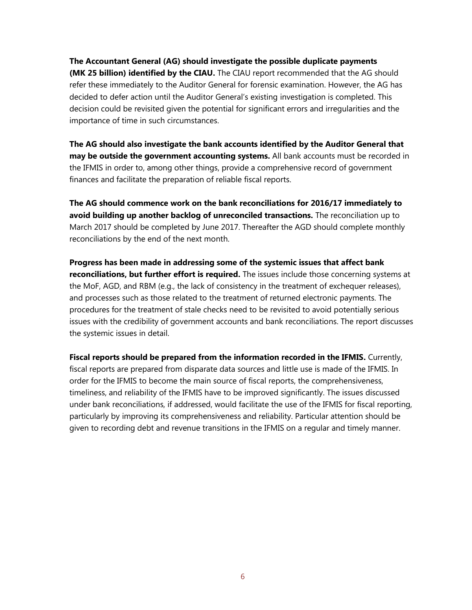**The Accountant General (AG) should investigate the possible duplicate payments** 

**(MK 25 billion) identified by the CIAU.** The CIAU report recommended that the AG should refer these immediately to the Auditor General for forensic examination. However, the AG has decided to defer action until the Auditor General's existing investigation is completed. This decision could be revisited given the potential for significant errors and irregularities and the importance of time in such circumstances.

**The AG should also investigate the bank accounts identified by the Auditor General that may be outside the government accounting systems.** All bank accounts must be recorded in the IFMIS in order to, among other things, provide a comprehensive record of government finances and facilitate the preparation of reliable fiscal reports.

**The AG should commence work on the bank reconciliations for 2016/17 immediately to avoid building up another backlog of unreconciled transactions.** The reconciliation up to March 2017 should be completed by June 2017. Thereafter the AGD should complete monthly reconciliations by the end of the next month.

**Progress has been made in addressing some of the systemic issues that affect bank reconciliations, but further effort is required.** The issues include those concerning systems at the MoF, AGD, and RBM (e.g., the lack of consistency in the treatment of exchequer releases), and processes such as those related to the treatment of returned electronic payments. The procedures for the treatment of stale checks need to be revisited to avoid potentially serious issues with the credibility of government accounts and bank reconciliations. The report discusses the systemic issues in detail.

**Fiscal reports should be prepared from the information recorded in the IFMIS.** Currently, fiscal reports are prepared from disparate data sources and little use is made of the IFMIS. In order for the IFMIS to become the main source of fiscal reports, the comprehensiveness, timeliness, and reliability of the IFMIS have to be improved significantly. The issues discussed under bank reconciliations, if addressed, would facilitate the use of the IFMIS for fiscal reporting, particularly by improving its comprehensiveness and reliability. Particular attention should be given to recording debt and revenue transitions in the IFMIS on a regular and timely manner.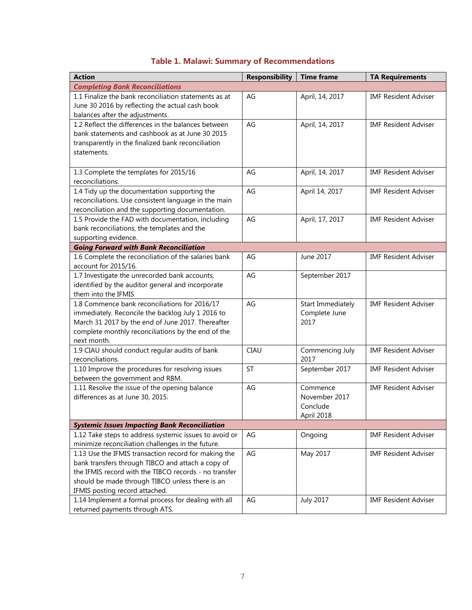## **Table 1. Malawi: Summary of Recommendations**

| <b>Action</b>                                                                                                                                                                                                                                           | <b>Responsibility</b> | <b>Time frame</b>                                   | <b>TA Requirements</b>      |
|---------------------------------------------------------------------------------------------------------------------------------------------------------------------------------------------------------------------------------------------------------|-----------------------|-----------------------------------------------------|-----------------------------|
| <b>Completing Bank Reconciliations</b>                                                                                                                                                                                                                  |                       |                                                     |                             |
| 1.1 Finalize the bank reconciliation statements as at<br>June 30 2016 by reflecting the actual cash book<br>balances after the adjustments.                                                                                                             | AG                    | April, 14, 2017                                     | <b>IMF Resident Adviser</b> |
| 1.2 Reflect the differences in the balances between<br>bank statements and cashbook as at June 30 2015<br>transparently in the finalized bank reconciliation<br>statements.                                                                             | AG                    | April, 14, 2017                                     | <b>IMF Resident Adviser</b> |
| 1.3 Complete the templates for 2015/16<br>reconciliations.                                                                                                                                                                                              | AG                    | April, 14, 2017                                     | <b>IMF Resident Adviser</b> |
| 1.4 Tidy up the documentation supporting the<br>reconciliations. Use consistent language in the main<br>reconciliation and the supporting documentation.                                                                                                | AG                    | April 14, 2017                                      | <b>IMF Resident Adviser</b> |
| 1.5 Provide the FAD with documentation, including<br>bank reconciliations, the templates and the<br>supporting evidence.                                                                                                                                | AG                    | April, 17, 2017                                     | <b>IMF Resident Adviser</b> |
| <b>Going Forward with Bank Reconciliation</b>                                                                                                                                                                                                           |                       |                                                     |                             |
| 1.6 Complete the reconciliation of the salaries bank<br>account for 2015/16.                                                                                                                                                                            | AG                    | June 2017                                           | <b>IMF Resident Adviser</b> |
| 1.7 Investigate the unrecorded bank accounts,<br>identified by the auditor general and incorporate<br>them into the IFMIS                                                                                                                               | AG                    | September 2017                                      |                             |
| 1.8 Commence bank reconciliations for 2016/17<br>immediately. Reconcile the backlog July 1 2016 to<br>March 31 2017 by the end of June 2017. Thereafter<br>complete monthly reconciliations by the end of the<br>next month.                            | AG                    | <b>Start Immediately</b><br>Complete June<br>2017   | <b>IMF Resident Adviser</b> |
| 1.9 CIAU should conduct regular audits of bank<br>reconciliations.                                                                                                                                                                                      | <b>CIAU</b>           | Commencing July<br>2017                             | <b>IMF Resident Adviser</b> |
| 1.10 Improve the procedures for resolving issues<br>between the government and RBM.                                                                                                                                                                     | <b>ST</b>             | September 2017                                      | <b>IMF Resident Adviser</b> |
| 1.11 Resolve the issue of the opening balance<br>differences as at June 30, 2015.                                                                                                                                                                       | AG                    | Commence<br>November 2017<br>Conclude<br>April 2018 | <b>IMF Resident Adviser</b> |
| <b>Systemic Issues Impacting Bank Reconciliation</b>                                                                                                                                                                                                    |                       |                                                     |                             |
| 1.12 Take steps to address systemic issues to avoid or<br>minimize reconciliation challenges in the future.                                                                                                                                             | AG                    | Ongoing                                             | <b>IMF Resident Adviser</b> |
| 1.13 Use the IFMIS transaction record for making the<br>bank transfers through TIBCO and attach a copy of<br>the IFMIS record with the TIBCO records - no transfer<br>should be made through TIBCO unless there is an<br>IFMIS posting record attached. | AG                    | May 2017                                            | <b>IMF Resident Adviser</b> |
| 1.14 Implement a formal process for dealing with all<br>returned payments through ATS.                                                                                                                                                                  | AG                    | <b>July 2017</b>                                    | <b>IMF Resident Adviser</b> |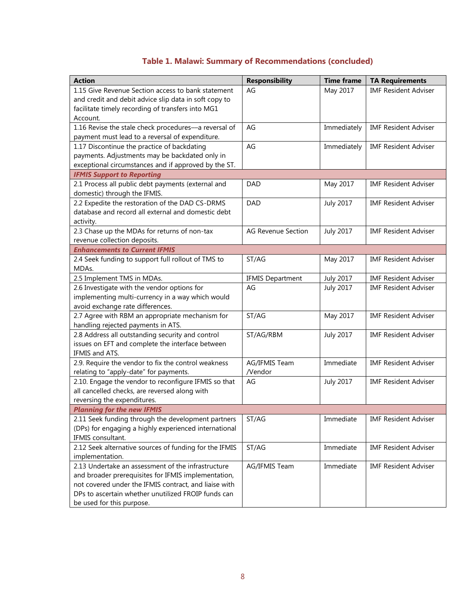## **Table 1. Malawi: Summary of Recommendations (concluded)**

| <b>Action</b>                                                                         | <b>Responsibility</b>     | <b>Time frame</b> | <b>TA Requirements</b>      |
|---------------------------------------------------------------------------------------|---------------------------|-------------------|-----------------------------|
| 1.15 Give Revenue Section access to bank statement                                    | AG                        | May 2017          | <b>IMF Resident Adviser</b> |
| and credit and debit advice slip data in soft copy to                                 |                           |                   |                             |
| facilitate timely recording of transfers into MG1                                     |                           |                   |                             |
| Account.                                                                              |                           |                   |                             |
| 1.16 Revise the stale check procedures-a reversal of                                  | AG                        | Immediately       | <b>IMF Resident Adviser</b> |
| payment must lead to a reversal of expenditure.                                       |                           |                   |                             |
| 1.17 Discontinue the practice of backdating                                           | AG                        | Immediately       | <b>IMF Resident Adviser</b> |
| payments. Adjustments may be backdated only in                                        |                           |                   |                             |
| exceptional circumstances and if approved by the ST.                                  |                           |                   |                             |
| <b>IFMIS Support to Reporting</b>                                                     |                           |                   |                             |
| 2.1 Process all public debt payments (external and                                    | <b>DAD</b>                | May 2017          | <b>IMF Resident Adviser</b> |
| domestic) through the IFMIS.                                                          |                           |                   |                             |
| 2.2 Expedite the restoration of the DAD CS-DRMS                                       | <b>DAD</b>                | <b>July 2017</b>  | <b>IMF Resident Adviser</b> |
| database and record all external and domestic debt                                    |                           |                   |                             |
| activity.                                                                             |                           |                   |                             |
| 2.3 Chase up the MDAs for returns of non-tax                                          | <b>AG Revenue Section</b> | <b>July 2017</b>  | <b>IMF Resident Adviser</b> |
| revenue collection deposits.                                                          |                           |                   |                             |
| <b>Enhancements to Current IFMIS</b>                                                  |                           |                   |                             |
| 2.4 Seek funding to support full rollout of TMS to                                    | ST/AG                     | May 2017          | <b>IMF Resident Adviser</b> |
| MDAs.                                                                                 |                           |                   |                             |
| 2.5 Implement TMS in MDAs.                                                            | <b>IFMIS Department</b>   | <b>July 2017</b>  | <b>IMF Resident Adviser</b> |
| 2.6 Investigate with the vendor options for                                           | AG                        | <b>July 2017</b>  | <b>IMF Resident Adviser</b> |
| implementing multi-currency in a way which would                                      |                           |                   |                             |
| avoid exchange rate differences.                                                      | ST/AG                     |                   | <b>IMF Resident Adviser</b> |
| 2.7 Agree with RBM an appropriate mechanism for<br>handling rejected payments in ATS. |                           | May 2017          |                             |
| 2.8 Address all outstanding security and control                                      | ST/AG/RBM                 | <b>July 2017</b>  | <b>IMF Resident Adviser</b> |
| issues on EFT and complete the interface between                                      |                           |                   |                             |
| IFMIS and ATS.                                                                        |                           |                   |                             |
| 2.9. Require the vendor to fix the control weakness                                   | AG/IFMIS Team             | Immediate         | <b>IMF Resident Adviser</b> |
| relating to "apply-date" for payments.                                                | /Vendor                   |                   |                             |
| 2.10. Engage the vendor to reconfigure IFMIS so that                                  | AG                        | <b>July 2017</b>  | <b>IMF Resident Adviser</b> |
| all cancelled checks, are reversed along with                                         |                           |                   |                             |
| reversing the expenditures.                                                           |                           |                   |                             |
| <b>Planning for the new IFMIS</b>                                                     |                           |                   |                             |
| 2.11 Seek funding through the development partners                                    | ST/AG                     | Immediate         | <b>IMF Resident Adviser</b> |
| (DPs) for engaging a highly experienced international                                 |                           |                   |                             |
| IFMIS consultant.                                                                     |                           |                   |                             |
| 2.12 Seek alternative sources of funding for the IFMIS                                | ST/AG                     | Immediate         | <b>IMF Resident Adviser</b> |
| implementation.                                                                       |                           |                   |                             |
| 2.13 Undertake an assessment of the infrastructure                                    | AG/IFMIS Team             | Immediate         | <b>IMF Resident Adviser</b> |
| and broader prerequisites for IFMIS implementation,                                   |                           |                   |                             |
| not covered under the IFMIS contract, and liaise with                                 |                           |                   |                             |
| DPs to ascertain whether unutilized FROIP funds can                                   |                           |                   |                             |
| be used for this purpose.                                                             |                           |                   |                             |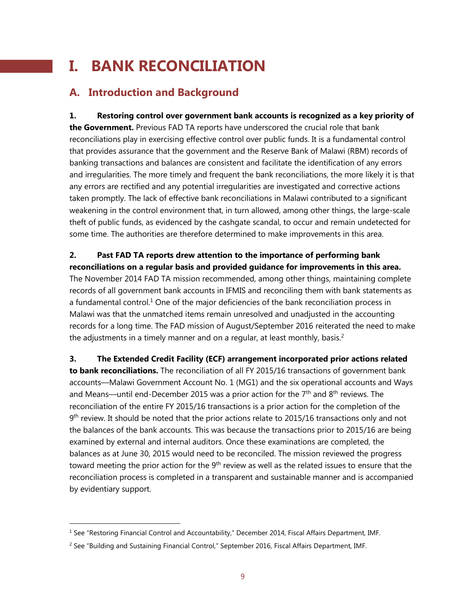## **I. BANK RECONCILIATION**

## **A. Introduction and Background**

**1. Restoring control over government bank accounts is recognized as a key priority of the Government.** Previous FAD TA reports have underscored the crucial role that bank reconciliations play in exercising effective control over public funds. It is a fundamental control that provides assurance that the government and the Reserve Bank of Malawi (RBM) records of banking transactions and balances are consistent and facilitate the identification of any errors and irregularities. The more timely and frequent the bank reconciliations, the more likely it is that any errors are rectified and any potential irregularities are investigated and corrective actions taken promptly. The lack of effective bank reconciliations in Malawi contributed to a significant weakening in the control environment that, in turn allowed, among other things, the large-scale theft of public funds, as evidenced by the cashgate scandal, to occur and remain undetected for some time. The authorities are therefore determined to make improvements in this area.

**2. Past FAD TA reports drew attention to the importance of performing bank reconciliations on a regular basis and provided guidance for improvements in this area.** The November 2014 FAD TA mission recommended, among other things, maintaining complete records of all government bank accounts in IFMIS and reconciling them with bank statements as a fundamental control.<sup>1</sup> One of the major deficiencies of the bank reconciliation process in Malawi was that the unmatched items remain unresolved and unadjusted in the accounting records for a long time. The FAD mission of August/September 2016 reiterated the need to make the adjustments in a timely manner and on a regular, at least monthly, basis.<sup>2</sup>

**3. The Extended Credit Facility (ECF) arrangement incorporated prior actions related to bank reconciliations.** The reconciliation of all FY 2015/16 transactions of government bank accounts––Malawi Government Account No. 1 (MG1) and the six operational accounts and Ways and Means—until end-December 2015 was a prior action for the  $7<sup>th</sup>$  and  $8<sup>th</sup>$  reviews. The reconciliation of the entire FY 2015/16 transactions is a prior action for the completion of the 9<sup>th</sup> review. It should be noted that the prior actions relate to 2015/16 transactions only and not the balances of the bank accounts. This was because the transactions prior to 2015/16 are being examined by external and internal auditors. Once these examinations are completed, the balances as at June 30, 2015 would need to be reconciled. The mission reviewed the progress toward meeting the prior action for the 9<sup>th</sup> review as well as the related issues to ensure that the reconciliation process is completed in a transparent and sustainable manner and is accompanied by evidentiary support.

<sup>&</sup>lt;sup>1</sup> See "Restoring Financial Control and Accountability," December 2014, Fiscal Affairs Department, IMF.

 $2$  See "Building and Sustaining Financial Control," September 2016, Fiscal Affairs Department, IMF.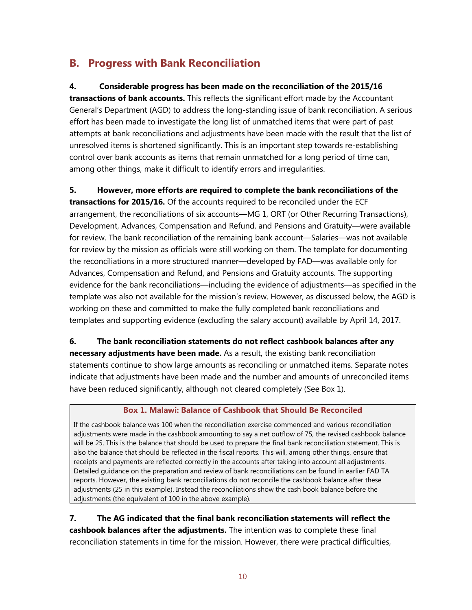## **B. Progress with Bank Reconciliation**

#### **4. Considerable progress has been made on the reconciliation of the 2015/16**

**transactions of bank accounts.** This reflects the significant effort made by the Accountant General's Department (AGD) to address the long-standing issue of bank reconciliation. A serious effort has been made to investigate the long list of unmatched items that were part of past attempts at bank reconciliations and adjustments have been made with the result that the list of unresolved items is shortened significantly. This is an important step towards re-establishing control over bank accounts as items that remain unmatched for a long period of time can, among other things, make it difficult to identify errors and irregularities.

**5. However, more efforts are required to complete the bank reconciliations of the transactions for 2015/16.** Of the accounts required to be reconciled under the ECF

arrangement, the reconciliations of six accounts—MG 1, ORT (or Other Recurring Transactions), Development, Advances, Compensation and Refund, and Pensions and Gratuity—were available for review. The bank reconciliation of the remaining bank account—Salaries—was not available for review by the mission as officials were still working on them. The template for documenting the reconciliations in a more structured manner—developed by FAD—was available only for Advances, Compensation and Refund, and Pensions and Gratuity accounts. The supporting evidence for the bank reconciliations—including the evidence of adjustments—as specified in the template was also not available for the mission's review. However, as discussed below, the AGD is working on these and committed to make the fully completed bank reconciliations and templates and supporting evidence (excluding the salary account) available by April 14, 2017.

**6. The bank reconciliation statements do not reflect cashbook balances after any** 

**necessary adjustments have been made.** As a result, the existing bank reconciliation statements continue to show large amounts as reconciling or unmatched items. Separate notes indicate that adjustments have been made and the number and amounts of unreconciled items have been reduced significantly, although not cleared completely (See Box 1).

#### **Box 1. Malawi: Balance of Cashbook that Should Be Reconciled**

If the cashbook balance was 100 when the reconciliation exercise commenced and various reconciliation adjustments were made in the cashbook amounting to say a net outflow of 75, the revised cashbook balance will be 25. This is the balance that should be used to prepare the final bank reconciliation statement. This is also the balance that should be reflected in the fiscal reports. This will, among other things, ensure that receipts and payments are reflected correctly in the accounts after taking into account all adjustments. Detailed guidance on the preparation and review of bank reconciliations can be found in earlier FAD TA reports. However, the existing bank reconciliations do not reconcile the cashbook balance after these adjustments (25 in this example). Instead the reconciliations show the cash book balance before the adjustments (the equivalent of 100 in the above example).

**7. The AG indicated that the final bank reconciliation statements will reflect the cashbook balances after the adjustments.** The intention was to complete these final reconciliation statements in time for the mission. However, there were practical difficulties,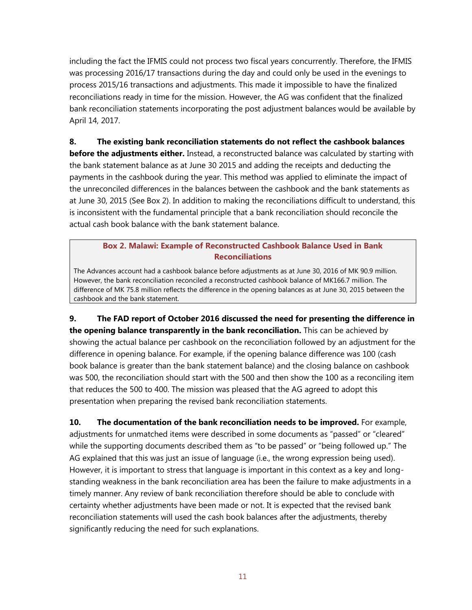including the fact the IFMIS could not process two fiscal years concurrently. Therefore, the IFMIS was processing 2016/17 transactions during the day and could only be used in the evenings to process 2015/16 transactions and adjustments. This made it impossible to have the finalized reconciliations ready in time for the mission. However, the AG was confident that the finalized bank reconciliation statements incorporating the post adjustment balances would be available by April 14, 2017.

**8. The existing bank reconciliation statements do not reflect the cashbook balances before the adjustments either.** Instead, a reconstructed balance was calculated by starting with the bank statement balance as at June 30 2015 and adding the receipts and deducting the payments in the cashbook during the year. This method was applied to eliminate the impact of the unreconciled differences in the balances between the cashbook and the bank statements as at June 30, 2015 (See Box 2). In addition to making the reconciliations difficult to understand, this is inconsistent with the fundamental principle that a bank reconciliation should reconcile the actual cash book balance with the bank statement balance.

#### **Box 2. Malawi: Example of Reconstructed Cashbook Balance Used in Bank Reconciliations**

The Advances account had a cashbook balance before adjustments as at June 30, 2016 of MK 90.9 million. However, the bank reconciliation reconciled a reconstructed cashbook balance of MK166.7 million. The difference of MK 75.8 million reflects the difference in the opening balances as at June 30, 2015 between the cashbook and the bank statement.

**9. The FAD report of October 2016 discussed the need for presenting the difference in the opening balance transparently in the bank reconciliation.** This can be achieved by showing the actual balance per cashbook on the reconciliation followed by an adjustment for the difference in opening balance. For example, if the opening balance difference was 100 (cash book balance is greater than the bank statement balance) and the closing balance on cashbook was 500, the reconciliation should start with the 500 and then show the 100 as a reconciling item that reduces the 500 to 400. The mission was pleased that the AG agreed to adopt this presentation when preparing the revised bank reconciliation statements.

**10. The documentation of the bank reconciliation needs to be improved.** For example, adjustments for unmatched items were described in some documents as "passed" or "cleared" while the supporting documents described them as "to be passed" or "being followed up." The AG explained that this was just an issue of language (i.e., the wrong expression being used). However, it is important to stress that language is important in this context as a key and longstanding weakness in the bank reconciliation area has been the failure to make adjustments in a timely manner. Any review of bank reconciliation therefore should be able to conclude with certainty whether adjustments have been made or not. It is expected that the revised bank reconciliation statements will used the cash book balances after the adjustments, thereby significantly reducing the need for such explanations.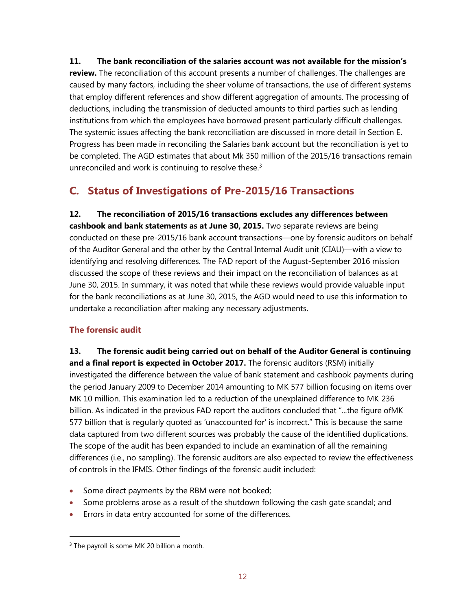**11. The bank reconciliation of the salaries account was not available for the mission's review.** The reconciliation of this account presents a number of challenges. The challenges are caused by many factors, including the sheer volume of transactions, the use of different systems that employ different references and show different aggregation of amounts. The processing of deductions, including the transmission of deducted amounts to third parties such as lending institutions from which the employees have borrowed present particularly difficult challenges. The systemic issues affecting the bank reconciliation are discussed in more detail in Section E. Progress has been made in reconciling the Salaries bank account but the reconciliation is yet to be completed. The AGD estimates that about Mk 350 million of the 2015/16 transactions remain unreconciled and work is continuing to resolve these. $3$ 

## **C. Status of Investigations of Pre-2015/16 Transactions**

**12. The reconciliation of 2015/16 transactions excludes any differences between cashbook and bank statements as at June 30, 2015.** Two separate reviews are being conducted on these pre-2015/16 bank account transactions—one by forensic auditors on behalf of the Auditor General and the other by the Central Internal Audit unit (CIAU)—with a view to identifying and resolving differences. The FAD report of the August-September 2016 mission discussed the scope of these reviews and their impact on the reconciliation of balances as at June 30, 2015. In summary, it was noted that while these reviews would provide valuable input for the bank reconciliations as at June 30, 2015, the AGD would need to use this information to undertake a reconciliation after making any necessary adjustments.

### **The forensic audit**

**13. The forensic audit being carried out on behalf of the Auditor General is continuing and a final report is expected in October 2017.** The forensic auditors (RSM) initially investigated the difference between the value of bank statement and cashbook payments during the period January 2009 to December 2014 amounting to MK 577 billion focusing on items over MK 10 million. This examination led to a reduction of the unexplained difference to MK 236 billion. As indicated in the previous FAD report the auditors concluded that "...the figure of
MK 577 billion that is regularly quoted as 'unaccounted for' is incorrect." This is because the same data captured from two different sources was probably the cause of the identified duplications. The scope of the audit has been expanded to include an examination of all the remaining differences (i.e., no sampling). The forensic auditors are also expected to review the effectiveness of controls in the IFMIS. Other findings of the forensic audit included:

- Some direct payments by the RBM were not booked;
- Some problems arose as a result of the shutdown following the cash gate scandal; and
- Errors in data entry accounted for some of the differences.

<sup>&</sup>lt;sup>3</sup> The payroll is some MK 20 billion a month.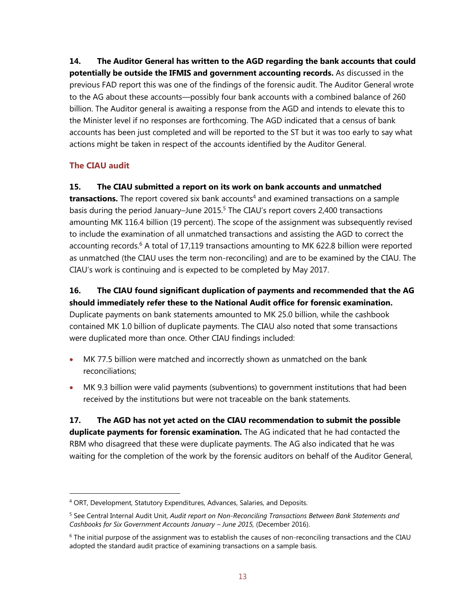**14. The Auditor General has written to the AGD regarding the bank accounts that could potentially be outside the IFMIS and government accounting records.** As discussed in the previous FAD report this was one of the findings of the forensic audit. The Auditor General wrote to the AG about these accounts—possibly four bank accounts with a combined balance of 260 billion. The Auditor general is awaiting a response from the AGD and intends to elevate this to the Minister level if no responses are forthcoming. The AGD indicated that a census of bank accounts has been just completed and will be reported to the ST but it was too early to say what actions might be taken in respect of the accounts identified by the Auditor General.

#### **The CIAU audit**

 $\overline{a}$ 

#### **15. The CIAU submitted a report on its work on bank accounts and unmatched**

**transactions.** The report covered six bank accounts<sup>4</sup> and examined transactions on a sample basis during the period January–June 2015.<sup>5</sup> The CIAU's report covers 2,400 transactions amounting MK 116.4 billion (19 percent). The scope of the assignment was subsequently revised to include the examination of all unmatched transactions and assisting the AGD to correct the accounting records.<sup>6</sup> A total of 17,119 transactions amounting to MK 622.8 billion were reported as unmatched (the CIAU uses the term non-reconciling) and are to be examined by the CIAU. The CIAU's work is continuing and is expected to be completed by May 2017.

## **16. The CIAU found significant duplication of payments and recommended that the AG**

**should immediately refer these to the National Audit office for forensic examination.**  Duplicate payments on bank statements amounted to MK 25.0 billion, while the cashbook contained MK 1.0 billion of duplicate payments. The CIAU also noted that some transactions were duplicated more than once. Other CIAU findings included:

- MK 77.5 billion were matched and incorrectly shown as unmatched on the bank reconciliations;
- MK 9.3 billion were valid payments (subventions) to government institutions that had been received by the institutions but were not traceable on the bank statements.

**17. The AGD has not yet acted on the CIAU recommendation to submit the possible duplicate payments for forensic examination.** The AG indicated that he had contacted the RBM who disagreed that these were duplicate payments. The AG also indicated that he was waiting for the completion of the work by the forensic auditors on behalf of the Auditor General,

<sup>4</sup> ORT, Development, Statutory Expenditures, Advances, Salaries, and Deposits.

<sup>5</sup> See Central Internal Audit Unit, *Audit report on Non-Reconciling Transactions Between Bank Statements and Cashbooks for Six Government Accounts January – June 2015,* (December 2016).

 $6$  The initial purpose of the assignment was to establish the causes of non-reconciling transactions and the CIAU adopted the standard audit practice of examining transactions on a sample basis.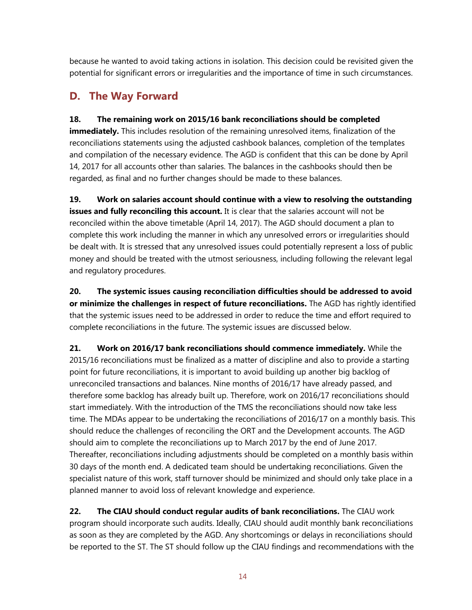because he wanted to avoid taking actions in isolation. This decision could be revisited given the potential for significant errors or irregularities and the importance of time in such circumstances.

## **D. The Way Forward**

### **18. The remaining work on 2015/16 bank reconciliations should be completed**

**immediately.** This includes resolution of the remaining unresolved items, finalization of the reconciliations statements using the adjusted cashbook balances, completion of the templates and compilation of the necessary evidence. The AGD is confident that this can be done by April 14, 2017 for all accounts other than salaries. The balances in the cashbooks should then be regarded, as final and no further changes should be made to these balances.

**19. Work on salaries account should continue with a view to resolving the outstanding issues and fully reconciling this account.** It is clear that the salaries account will not be reconciled within the above timetable (April 14, 2017). The AGD should document a plan to complete this work including the manner in which any unresolved errors or irregularities should be dealt with. It is stressed that any unresolved issues could potentially represent a loss of public money and should be treated with the utmost seriousness, including following the relevant legal and regulatory procedures.

**20. The systemic issues causing reconciliation difficulties should be addressed to avoid or minimize the challenges in respect of future reconciliations.** The AGD has rightly identified that the systemic issues need to be addressed in order to reduce the time and effort required to complete reconciliations in the future. The systemic issues are discussed below.

**21. Work on 2016/17 bank reconciliations should commence immediately.** While the 2015/16 reconciliations must be finalized as a matter of discipline and also to provide a starting point for future reconciliations, it is important to avoid building up another big backlog of unreconciled transactions and balances. Nine months of 2016/17 have already passed, and therefore some backlog has already built up. Therefore, work on 2016/17 reconciliations should start immediately. With the introduction of the TMS the reconciliations should now take less time. The MDAs appear to be undertaking the reconciliations of 2016/17 on a monthly basis. This should reduce the challenges of reconciling the ORT and the Development accounts. The AGD should aim to complete the reconciliations up to March 2017 by the end of June 2017. Thereafter, reconciliations including adjustments should be completed on a monthly basis within 30 days of the month end. A dedicated team should be undertaking reconciliations. Given the specialist nature of this work, staff turnover should be minimized and should only take place in a planned manner to avoid loss of relevant knowledge and experience.

**22. The CIAU should conduct regular audits of bank reconciliations.** The CIAU work program should incorporate such audits. Ideally, CIAU should audit monthly bank reconciliations as soon as they are completed by the AGD. Any shortcomings or delays in reconciliations should be reported to the ST. The ST should follow up the CIAU findings and recommendations with the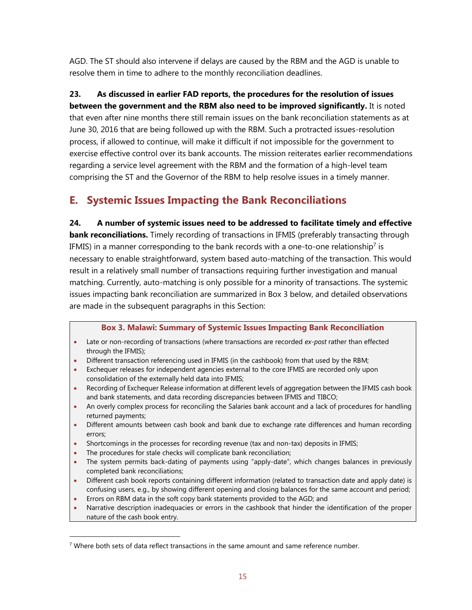AGD. The ST should also intervene if delays are caused by the RBM and the AGD is unable to resolve them in time to adhere to the monthly reconciliation deadlines.

## **23. As discussed in earlier FAD reports, the procedures for the resolution of issues**

**between the government and the RBM also need to be improved significantly.** It is noted that even after nine months there still remain issues on the bank reconciliation statements as at June 30, 2016 that are being followed up with the RBM. Such a protracted issues-resolution process, if allowed to continue, will make it difficult if not impossible for the government to exercise effective control over its bank accounts. The mission reiterates earlier recommendations regarding a service level agreement with the RBM and the formation of a high-level team comprising the ST and the Governor of the RBM to help resolve issues in a timely manner.

## **E. Systemic Issues Impacting the Bank Reconciliations**

**24. A number of systemic issues need to be addressed to facilitate timely and effective bank reconciliations.** Timely recording of transactions in IFMIS (preferably transacting through IFMIS) in a manner corresponding to the bank records with a one-to-one relationship<sup>7</sup> is necessary to enable straightforward, system based auto-matching of the transaction. This would result in a relatively small number of transactions requiring further investigation and manual matching. Currently, auto-matching is only possible for a minority of transactions. The systemic issues impacting bank reconciliation are summarized in Box 3 below, and detailed observations are made in the subsequent paragraphs in this Section:

#### **Box 3. Malawi: Summary of Systemic Issues Impacting Bank Reconciliation**

- Late or non-recording of transactions (where transactions are recorded *ex-post* rather than effected through the IFMIS);
- Different transaction referencing used in IFMIS (in the cashbook) from that used by the RBM;
- Exchequer releases for independent agencies external to the core IFMIS are recorded only upon consolidation of the externally held data into IFMIS;
- Recording of Exchequer Release information at different levels of aggregation between the IFMIS cash book and bank statements, and data recording discrepancies between IFMIS and TIBCO;
- An overly complex process for reconciling the Salaries bank account and a lack of procedures for handling returned payments;
- Different amounts between cash book and bank due to exchange rate differences and human recording errors;
- Shortcomings in the processes for recording revenue (tax and non-tax) deposits in IFMIS;
- The procedures for stale checks will complicate bank reconciliation;

- The system permits back-dating of payments using "apply-date", which changes balances in previously completed bank reconciliations;
- Different cash book reports containing different information (related to transaction date and apply date) is confusing users, e.g., by showing different opening and closing balances for the same account and period;
- Errors on RBM data in the soft copy bank statements provided to the AGD; and
- Narrative description inadequacies or errors in the cashbook that hinder the identification of the proper nature of the cash book entry.

 $7$  Where both sets of data reflect transactions in the same amount and same reference number.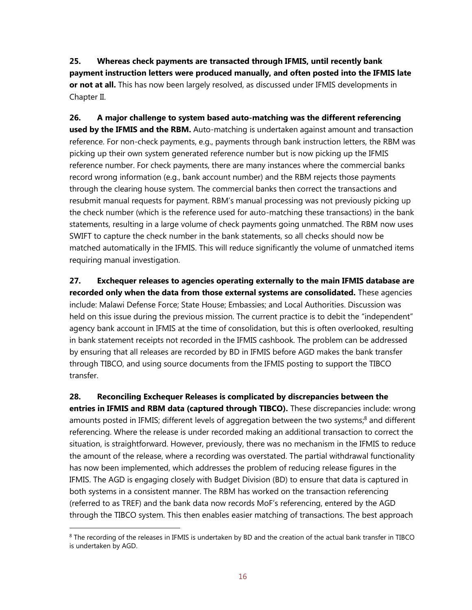**25. Whereas check payments are transacted through IFMIS, until recently bank payment instruction letters were produced manually, and often posted into the IFMIS late or not at all.** This has now been largely resolved, as discussed under IFMIS developments in Chapter II.

**26. A major challenge to system based auto-matching was the different referencing used by the IFMIS and the RBM.** Auto-matching is undertaken against amount and transaction reference. For non-check payments, e.g., payments through bank instruction letters, the RBM was picking up their own system generated reference number but is now picking up the IFMIS reference number. For check payments, there are many instances where the commercial banks record wrong information (e.g., bank account number) and the RBM rejects those payments through the clearing house system. The commercial banks then correct the transactions and resubmit manual requests for payment. RBM's manual processing was not previously picking up the check number (which is the reference used for auto-matching these transactions) in the bank statements, resulting in a large volume of check payments going unmatched. The RBM now uses SWIFT to capture the check number in the bank statements, so all checks should now be matched automatically in the IFMIS. This will reduce significantly the volume of unmatched items requiring manual investigation.

**27. Exchequer releases to agencies operating externally to the main IFMIS database are recorded only when the data from those external systems are consolidated.** These agencies include: Malawi Defense Force; State House; Embassies; and Local Authorities. Discussion was held on this issue during the previous mission. The current practice is to debit the "independent" agency bank account in IFMIS at the time of consolidation, but this is often overlooked, resulting in bank statement receipts not recorded in the IFMIS cashbook. The problem can be addressed by ensuring that all releases are recorded by BD in IFMIS before AGD makes the bank transfer through TIBCO, and using source documents from the IFMIS posting to support the TIBCO transfer.

**28. Reconciling Exchequer Releases is complicated by discrepancies between the entries in IFMIS and RBM data (captured through TIBCO).** These discrepancies include: wrong amounts posted in IFMIS; different levels of aggregation between the two systems;<sup>8</sup> and different referencing. Where the release is under recorded making an additional transaction to correct the situation, is straightforward. However, previously, there was no mechanism in the IFMIS to reduce the amount of the release, where a recording was overstated. The partial withdrawal functionality has now been implemented, which addresses the problem of reducing release figures in the IFMIS. The AGD is engaging closely with Budget Division (BD) to ensure that data is captured in both systems in a consistent manner. The RBM has worked on the transaction referencing (referred to as TREF) and the bank data now records MoF's referencing, entered by the AGD through the TIBCO system. This then enables easier matching of transactions. The best approach

<sup>&</sup>lt;sup>8</sup> The recording of the releases in IFMIS is undertaken by BD and the creation of the actual bank transfer in TIBCO is undertaken by AGD.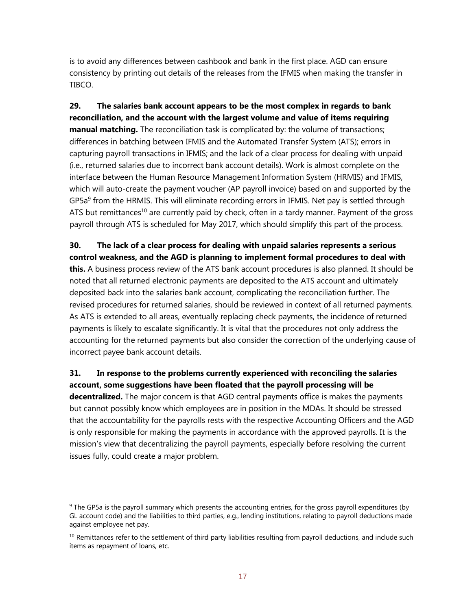is to avoid any differences between cashbook and bank in the first place. AGD can ensure consistency by printing out details of the releases from the IFMIS when making the transfer in TIBCO.

**29. The salaries bank account appears to be the most complex in regards to bank reconciliation, and the account with the largest volume and value of items requiring manual matching.** The reconciliation task is complicated by: the volume of transactions; differences in batching between IFMIS and the Automated Transfer System (ATS); errors in capturing payroll transactions in IFMIS; and the lack of a clear process for dealing with unpaid (i.e., returned salaries due to incorrect bank account details). Work is almost complete on the interface between the Human Resource Management Information System (HRMIS) and IFMIS, which will auto-create the payment voucher (AP payroll invoice) based on and supported by the GP5a<sup>9</sup> from the HRMIS. This will eliminate recording errors in IFMIS. Net pay is settled through ATS but remittances<sup>10</sup> are currently paid by check, often in a tardy manner. Payment of the gross payroll through ATS is scheduled for May 2017, which should simplify this part of the process.

**30. The lack of a clear process for dealing with unpaid salaries represents a serious control weakness, and the AGD is planning to implement formal procedures to deal with this.** A business process review of the ATS bank account procedures is also planned. It should be noted that all returned electronic payments are deposited to the ATS account and ultimately deposited back into the salaries bank account, complicating the reconciliation further. The revised procedures for returned salaries, should be reviewed in context of all returned payments. As ATS is extended to all areas, eventually replacing check payments, the incidence of returned payments is likely to escalate significantly. It is vital that the procedures not only address the accounting for the returned payments but also consider the correction of the underlying cause of incorrect payee bank account details.

#### **31. In response to the problems currently experienced with reconciling the salaries account, some suggestions have been floated that the payroll processing will be**

**decentralized.** The major concern is that AGD central payments office is makes the payments but cannot possibly know which employees are in position in the MDAs. It should be stressed that the accountability for the payrolls rests with the respective Accounting Officers and the AGD is only responsible for making the payments in accordance with the approved payrolls. It is the mission's view that decentralizing the payroll payments, especially before resolving the current issues fully, could create a major problem.

<sup>&</sup>lt;sup>9</sup> The GP5a is the payroll summary which presents the accounting entries, for the gross payroll expenditures (by GL account code) and the liabilities to third parties, e.g., lending institutions, relating to payroll deductions made against employee net pay.

 $10$  Remittances refer to the settlement of third party liabilities resulting from payroll deductions, and include such items as repayment of loans, etc.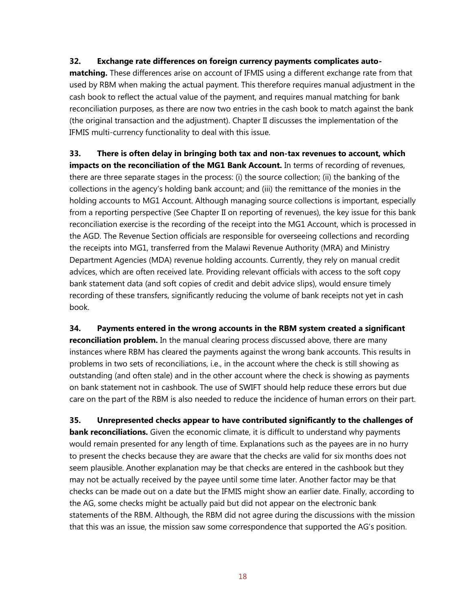#### **32. Exchange rate differences on foreign currency payments complicates auto-**

**matching.** These differences arise on account of IFMIS using a different exchange rate from that used by RBM when making the actual payment. This therefore requires manual adjustment in the cash book to reflect the actual value of the payment, and requires manual matching for bank reconciliation purposes, as there are now two entries in the cash book to match against the bank (the original transaction and the adjustment). Chapter II discusses the implementation of the IFMIS multi-currency functionality to deal with this issue.

**33. There is often delay in bringing both tax and non-tax revenues to account, which impacts on the reconciliation of the MG1 Bank Account.** In terms of recording of revenues, there are three separate stages in the process: (i) the source collection; (ii) the banking of the collections in the agency's holding bank account; and (iii) the remittance of the monies in the holding accounts to MG1 Account. Although managing source collections is important, especially from a reporting perspective (See Chapter II on reporting of revenues), the key issue for this bank reconciliation exercise is the recording of the receipt into the MG1 Account, which is processed in the AGD. The Revenue Section officials are responsible for overseeing collections and recording the receipts into MG1, transferred from the Malawi Revenue Authority (MRA) and Ministry Department Agencies (MDA) revenue holding accounts. Currently, they rely on manual credit advices, which are often received late. Providing relevant officials with access to the soft copy bank statement data (and soft copies of credit and debit advice slips), would ensure timely recording of these transfers, significantly reducing the volume of bank receipts not yet in cash book.

**34. Payments entered in the wrong accounts in the RBM system created a significant reconciliation problem.** In the manual clearing process discussed above, there are many instances where RBM has cleared the payments against the wrong bank accounts. This results in problems in two sets of reconciliations, i.e., in the account where the check is still showing as outstanding (and often stale) and in the other account where the check is showing as payments on bank statement not in cashbook. The use of SWIFT should help reduce these errors but due care on the part of the RBM is also needed to reduce the incidence of human errors on their part.

**35. Unrepresented checks appear to have contributed significantly to the challenges of bank reconciliations.** Given the economic climate, it is difficult to understand why payments would remain presented for any length of time. Explanations such as the payees are in no hurry to present the checks because they are aware that the checks are valid for six months does not seem plausible. Another explanation may be that checks are entered in the cashbook but they may not be actually received by the payee until some time later. Another factor may be that checks can be made out on a date but the IFMIS might show an earlier date. Finally, according to the AG, some checks might be actually paid but did not appear on the electronic bank statements of the RBM. Although, the RBM did not agree during the discussions with the mission that this was an issue, the mission saw some correspondence that supported the AG's position.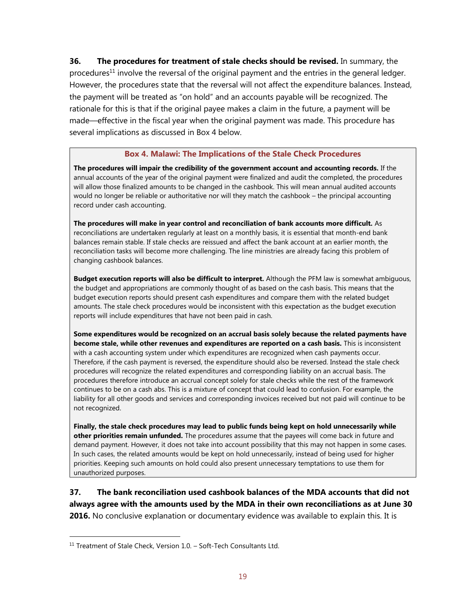**36. The procedures for treatment of stale checks should be revised.** In summary, the procedures<sup>11</sup> involve the reversal of the original payment and the entries in the general ledger. However, the procedures state that the reversal will not affect the expenditure balances. Instead, the payment will be treated as "on hold" and an accounts payable will be recognized. The rationale for this is that if the original payee makes a claim in the future, a payment will be made—effective in the fiscal year when the original payment was made. This procedure has several implications as discussed in Box 4 below.

#### **Box 4. Malawi: The Implications of the Stale Check Procedures**

**The procedures will impair the credibility of the government account and accounting records.** If the annual accounts of the year of the original payment were finalized and audit the completed, the procedures will allow those finalized amounts to be changed in the cashbook. This will mean annual audited accounts would no longer be reliable or authoritative nor will they match the cashbook – the principal accounting record under cash accounting.

**The procedures will make in year control and reconciliation of bank accounts more difficult.** As reconciliations are undertaken regularly at least on a monthly basis, it is essential that month-end bank balances remain stable. If stale checks are reissued and affect the bank account at an earlier month, the reconciliation tasks will become more challenging. The line ministries are already facing this problem of changing cashbook balances.

**Budget execution reports will also be difficult to interpret.** Although the PFM law is somewhat ambiguous, the budget and appropriations are commonly thought of as based on the cash basis. This means that the budget execution reports should present cash expenditures and compare them with the related budget amounts. The stale check procedures would be inconsistent with this expectation as the budget execution reports will include expenditures that have not been paid in cash.

**Some expenditures would be recognized on an accrual basis solely because the related payments have become stale, while other revenues and expenditures are reported on a cash basis.** This is inconsistent with a cash accounting system under which expenditures are recognized when cash payments occur. Therefore, if the cash payment is reversed, the expenditure should also be reversed. Instead the stale check procedures will recognize the related expenditures and corresponding liability on an accrual basis. The procedures therefore introduce an accrual concept solely for stale checks while the rest of the framework continues to be on a cash abs. This is a mixture of concept that could lead to confusion. For example, the liability for all other goods and services and corresponding invoices received but not paid will continue to be not recognized.

**Finally, the stale check procedures may lead to public funds being kept on hold unnecessarily while other priorities remain unfunded.** The procedures assume that the payees will come back in future and demand payment. However, it does not take into account possibility that this may not happen in some cases. In such cases, the related amounts would be kept on hold unnecessarily, instead of being used for higher priorities. Keeping such amounts on hold could also present unnecessary temptations to use them for unauthorized purposes.

**37. The bank reconciliation used cashbook balances of the MDA accounts that did not always agree with the amounts used by the MDA in their own reconciliations as at June 30 2016.** No conclusive explanation or documentary evidence was available to explain this. It is

 $11$  Treatment of Stale Check, Version  $1.0.$  – Soft-Tech Consultants Ltd.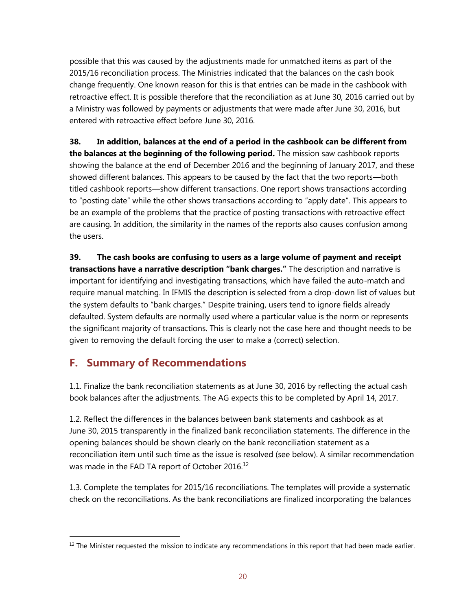possible that this was caused by the adjustments made for unmatched items as part of the 2015/16 reconciliation process. The Ministries indicated that the balances on the cash book change frequently. One known reason for this is that entries can be made in the cashbook with retroactive effect. It is possible therefore that the reconciliation as at June 30, 2016 carried out by a Ministry was followed by payments or adjustments that were made after June 30, 2016, but entered with retroactive effect before June 30, 2016.

**38. In addition, balances at the end of a period in the cashbook can be different from the balances at the beginning of the following period.** The mission saw cashbook reports showing the balance at the end of December 2016 and the beginning of January 2017, and these showed different balances. This appears to be caused by the fact that the two reports—both titled cashbook reports—show different transactions. One report shows transactions according to "posting date" while the other shows transactions according to "apply date". This appears to be an example of the problems that the practice of posting transactions with retroactive effect are causing. In addition, the similarity in the names of the reports also causes confusion among the users.

**39. The cash books are confusing to users as a large volume of payment and receipt transactions have a narrative description "bank charges."** The description and narrative is important for identifying and investigating transactions, which have failed the auto-match and require manual matching. In IFMIS the description is selected from a drop-down list of values but the system defaults to "bank charges." Despite training, users tend to ignore fields already defaulted. System defaults are normally used where a particular value is the norm or represents the significant majority of transactions. This is clearly not the case here and thought needs to be given to removing the default forcing the user to make a (correct) selection.

## **F. Summary of Recommendations**

 $\overline{a}$ 

1.1. Finalize the bank reconciliation statements as at June 30, 2016 by reflecting the actual cash book balances after the adjustments. The AG expects this to be completed by April 14, 2017.

1.2. Reflect the differences in the balances between bank statements and cashbook as at June 30, 2015 transparently in the finalized bank reconciliation statements. The difference in the opening balances should be shown clearly on the bank reconciliation statement as a reconciliation item until such time as the issue is resolved (see below). A similar recommendation was made in the FAD TA report of October 2016.<sup>12</sup>

1.3. Complete the templates for 2015/16 reconciliations. The templates will provide a systematic check on the reconciliations. As the bank reconciliations are finalized incorporating the balances

<sup>&</sup>lt;sup>12</sup> The Minister requested the mission to indicate any recommendations in this report that had been made earlier.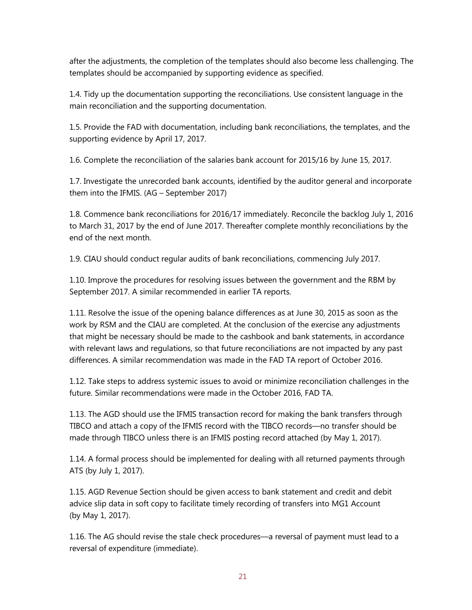after the adjustments, the completion of the templates should also become less challenging. The templates should be accompanied by supporting evidence as specified.

1.4. Tidy up the documentation supporting the reconciliations. Use consistent language in the main reconciliation and the supporting documentation.

1.5. Provide the FAD with documentation, including bank reconciliations, the templates, and the supporting evidence by April 17, 2017.

1.6. Complete the reconciliation of the salaries bank account for 2015/16 by June 15, 2017.

1.7. Investigate the unrecorded bank accounts, identified by the auditor general and incorporate them into the IFMIS. (AG – September 2017)

1.8. Commence bank reconciliations for 2016/17 immediately. Reconcile the backlog July 1, 2016 to March 31, 2017 by the end of June 2017. Thereafter complete monthly reconciliations by the end of the next month.

1.9. CIAU should conduct regular audits of bank reconciliations, commencing July 2017.

1.10. Improve the procedures for resolving issues between the government and the RBM by September 2017. A similar recommended in earlier TA reports.

1.11. Resolve the issue of the opening balance differences as at June 30, 2015 as soon as the work by RSM and the CIAU are completed. At the conclusion of the exercise any adjustments that might be necessary should be made to the cashbook and bank statements, in accordance with relevant laws and regulations, so that future reconciliations are not impacted by any past differences. A similar recommendation was made in the FAD TA report of October 2016.

1.12. Take steps to address systemic issues to avoid or minimize reconciliation challenges in the future. Similar recommendations were made in the October 2016, FAD TA.

1.13. The AGD should use the IFMIS transaction record for making the bank transfers through TIBCO and attach a copy of the IFMIS record with the TIBCO records––no transfer should be made through TIBCO unless there is an IFMIS posting record attached (by May 1, 2017).

1.14. A formal process should be implemented for dealing with all returned payments through ATS (by July 1, 2017).

1.15. AGD Revenue Section should be given access to bank statement and credit and debit advice slip data in soft copy to facilitate timely recording of transfers into MG1 Account (by May 1, 2017).

1.16. The AG should revise the stale check procedures––a reversal of payment must lead to a reversal of expenditure (immediate).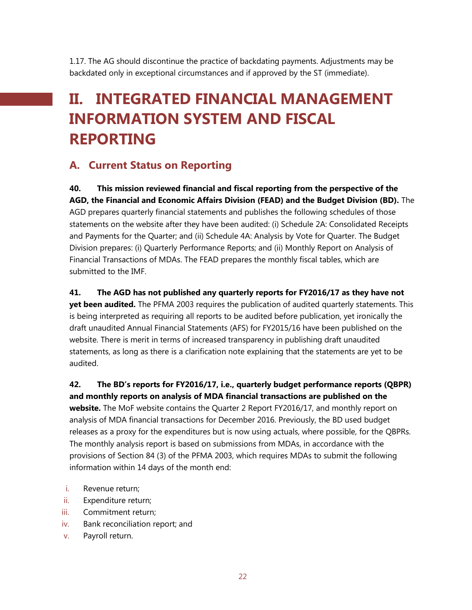1.17. The AG should discontinue the practice of backdating payments. Adjustments may be backdated only in exceptional circumstances and if approved by the ST (immediate).

## **II. INTEGRATED FINANCIAL MANAGEMENT INFORMATION SYSTEM AND FISCAL REPORTING**

## **A. Current Status on Reporting**

**40. This mission reviewed financial and fiscal reporting from the perspective of the AGD, the Financial and Economic Affairs Division (FEAD) and the Budget Division (BD).** The AGD prepares quarterly financial statements and publishes the following schedules of those statements on the website after they have been audited: (i) Schedule 2A: Consolidated Receipts and Payments for the Quarter; and (ii) Schedule 4A: Analysis by Vote for Quarter. The Budget Division prepares: (i) Quarterly Performance Reports; and (ii) Monthly Report on Analysis of Financial Transactions of MDAs. The FEAD prepares the monthly fiscal tables, which are submitted to the IMF.

#### **41. The AGD has not published any quarterly reports for FY2016/17 as they have not**

**yet been audited.** The PFMA 2003 requires the publication of audited quarterly statements. This is being interpreted as requiring all reports to be audited before publication, yet ironically the draft unaudited Annual Financial Statements (AFS) for FY2015/16 have been published on the website. There is merit in terms of increased transparency in publishing draft unaudited statements, as long as there is a clarification note explaining that the statements are yet to be audited.

**42. The BD's reports for FY2016/17, i.e., quarterly budget performance reports (QBPR) and monthly reports on analysis of MDA financial transactions are published on the website.** The MoF website contains the Quarter 2 Report FY2016/17, and monthly report on analysis of MDA financial transactions for December 2016. Previously, the BD used budget releases as a proxy for the expenditures but is now using actuals, where possible, for the QBPRs. The monthly analysis report is based on submissions from MDAs, in accordance with the provisions of Section 84 (3) of the PFMA 2003, which requires MDAs to submit the following information within 14 days of the month end:

- i. Revenue return;
- ii. Expenditure return;
- iii. Commitment return;
- iv. Bank reconciliation report; and
- v. Payroll return.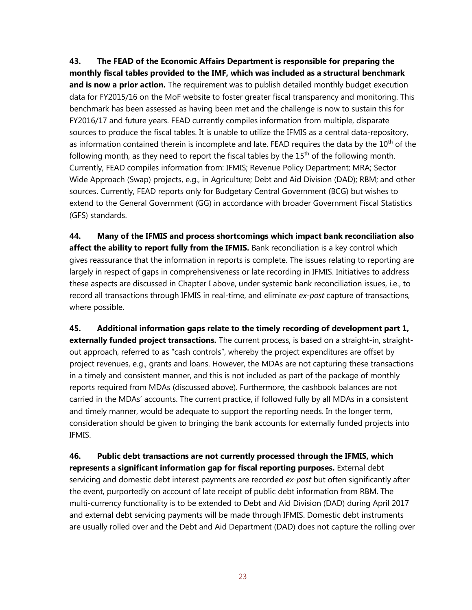**43. The FEAD of the Economic Affairs Department is responsible for preparing the monthly fiscal tables provided to the IMF, which was included as a structural benchmark and is now a prior action.** The requirement was to publish detailed monthly budget execution data for FY2015/16 on the MoF website to foster greater fiscal transparency and monitoring. This benchmark has been assessed as having been met and the challenge is now to sustain this for FY2016/17 and future years. FEAD currently compiles information from multiple, disparate sources to produce the fiscal tables. It is unable to utilize the IFMIS as a central data-repository, as information contained therein is incomplete and late. FEAD requires the data by the  $10<sup>th</sup>$  of the following month, as they need to report the fiscal tables by the  $15<sup>th</sup>$  of the following month. Currently, FEAD compiles information from: IFMIS; Revenue Policy Department; MRA; Sector Wide Approach (Swap) projects, e.g., in Agriculture; Debt and Aid Division (DAD); RBM; and other sources. Currently, FEAD reports only for Budgetary Central Government (BCG) but wishes to extend to the General Government (GG) in accordance with broader Government Fiscal Statistics (GFS) standards.

**44. Many of the IFMIS and process shortcomings which impact bank reconciliation also affect the ability to report fully from the IFMIS.** Bank reconciliation is a key control which gives reassurance that the information in reports is complete. The issues relating to reporting are largely in respect of gaps in comprehensiveness or late recording in IFMIS. Initiatives to address these aspects are discussed in Chapter I above, under systemic bank reconciliation issues, i.e., to record all transactions through IFMIS in real-time, and eliminate *ex-post* capture of transactions, where possible.

**45. Additional information gaps relate to the timely recording of development part 1, externally funded project transactions.** The current process, is based on a straight-in, straightout approach, referred to as "cash controls", whereby the project expenditures are offset by project revenues, e.g., grants and loans. However, the MDAs are not capturing these transactions in a timely and consistent manner, and this is not included as part of the package of monthly reports required from MDAs (discussed above). Furthermore, the cashbook balances are not carried in the MDAs' accounts. The current practice, if followed fully by all MDAs in a consistent and timely manner, would be adequate to support the reporting needs. In the longer term, consideration should be given to bringing the bank accounts for externally funded projects into IFMIS.

**46. Public debt transactions are not currently processed through the IFMIS, which represents a significant information gap for fiscal reporting purposes.** External debt servicing and domestic debt interest payments are recorded *ex-post* but often significantly after the event, purportedly on account of late receipt of public debt information from RBM. The multi-currency functionality is to be extended to Debt and Aid Division (DAD) during April 2017 and external debt servicing payments will be made through IFMIS. Domestic debt instruments are usually rolled over and the Debt and Aid Department (DAD) does not capture the rolling over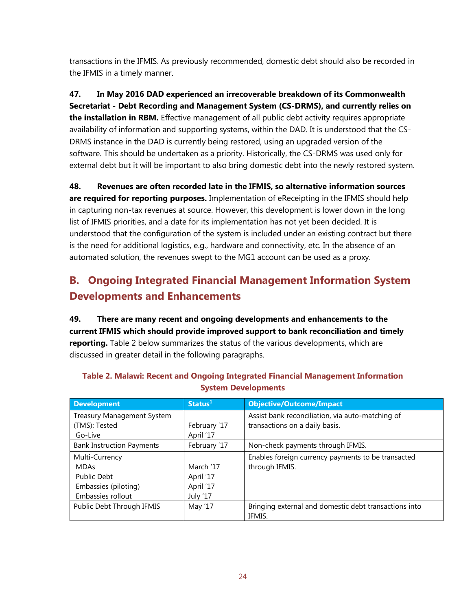transactions in the IFMIS. As previously recommended, domestic debt should also be recorded in the IFMIS in a timely manner.

**47. In May 2016 DAD experienced an irrecoverable breakdown of its Commonwealth Secretariat - Debt Recording and Management System (CS-DRMS), and currently relies on the installation in RBM.** Effective management of all public debt activity requires appropriate availability of information and supporting systems, within the DAD. It is understood that the CS-DRMS instance in the DAD is currently being restored, using an upgraded version of the software. This should be undertaken as a priority. Historically, the CS-DRMS was used only for external debt but it will be important to also bring domestic debt into the newly restored system.

**48. Revenues are often recorded late in the IFMIS, so alternative information sources are required for reporting purposes.** Implementation of eReceipting in the IFMIS should help in capturing non-tax revenues at source. However, this development is lower down in the long list of IFMIS priorities, and a date for its implementation has not yet been decided. It is understood that the configuration of the system is included under an existing contract but there is the need for additional logistics, e.g., hardware and connectivity, etc. In the absence of an automated solution, the revenues swept to the MG1 account can be used as a proxy.

## **B. Ongoing Integrated Financial Management Information System Developments and Enhancements**

**49. There are many recent and ongoing developments and enhancements to the current IFMIS which should provide improved support to bank reconciliation and timely reporting.** Table 2 below summarizes the status of the various developments, which are discussed in greater detail in the following paragraphs.

| <b>Development</b>                | Status <sup>1</sup> | <b>Objective/Outcome/Impact</b>                       |
|-----------------------------------|---------------------|-------------------------------------------------------|
| <b>Treasury Management System</b> |                     | Assist bank reconciliation, via auto-matching of      |
| (TMS): Tested                     | February '17        | transactions on a daily basis.                        |
| Go-Live                           | April '17           |                                                       |
| <b>Bank Instruction Payments</b>  | February '17        | Non-check payments through IFMIS.                     |
| Multi-Currency                    |                     | Enables foreign currency payments to be transacted    |
| <b>MDAs</b>                       | March '17           | through IFMIS.                                        |
| <b>Public Debt</b>                | April '17           |                                                       |
| Embassies (piloting)              | April '17           |                                                       |
| Embassies rollout                 | July '17            |                                                       |
| Public Debt Through IFMIS         | May '17             | Bringing external and domestic debt transactions into |
|                                   |                     | IFMIS.                                                |

#### **Table 2. Malawi: Recent and Ongoing Integrated Financial Management Information System Developments**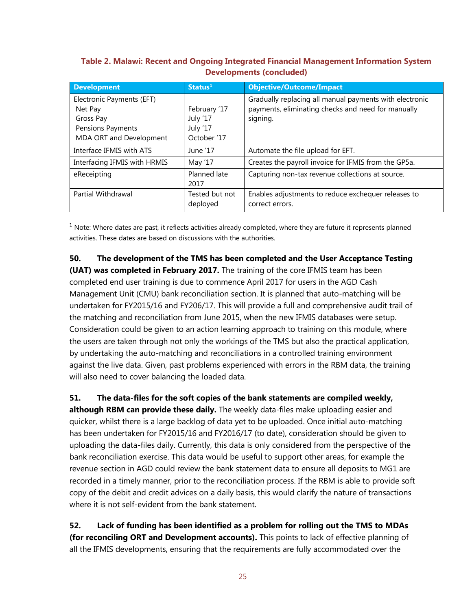#### **Table 2. Malawi: Recent and Ongoing Integrated Financial Management Information System Developments (concluded)**

| <b>Development</b>           | Status <sup>1</sup> | <b>Objective/Outcome/Impact</b>                         |
|------------------------------|---------------------|---------------------------------------------------------|
| Electronic Payments (EFT)    |                     | Gradually replacing all manual payments with electronic |
| Net Pay                      | February '17        | payments, eliminating checks and need for manually      |
| Gross Pay                    | July '17            | signing.                                                |
| Pensions Payments            | July '17            |                                                         |
| MDA ORT and Development      | October '17         |                                                         |
| Interface IFMIS with ATS     | June '17            | Automate the file upload for EFT.                       |
| Interfacing IFMIS with HRMIS | May '17             | Creates the payroll invoice for IFMIS from the GP5a.    |
| eReceipting                  | Planned late        | Capturing non-tax revenue collections at source.        |
|                              | 2017                |                                                         |
| Partial Withdrawal           | Tested but not      | Enables adjustments to reduce exchequer releases to     |
|                              | deployed            | correct errors.                                         |

 $<sup>1</sup>$  Note: Where dates are past, it reflects activities already completed, where they are future it represents planned</sup> activities. These dates are based on discussions with the authorities.

**50. The development of the TMS has been completed and the User Acceptance Testing (UAT) was completed in February 2017.** The training of the core IFMIS team has been completed end user training is due to commence April 2017 for users in the AGD Cash Management Unit (CMU) bank reconciliation section. It is planned that auto-matching will be undertaken for FY2015/16 and FY206/17. This will provide a full and comprehensive audit trail of the matching and reconciliation from June 2015, when the new IFMIS databases were setup. Consideration could be given to an action learning approach to training on this module, where the users are taken through not only the workings of the TMS but also the practical application, by undertaking the auto-matching and reconciliations in a controlled training environment against the live data. Given, past problems experienced with errors in the RBM data, the training will also need to cover balancing the loaded data.

**51. The data-files for the soft copies of the bank statements are compiled weekly, although RBM can provide these daily.** The weekly data-files make uploading easier and quicker, whilst there is a large backlog of data yet to be uploaded. Once initial auto-matching has been undertaken for FY2015/16 and FY2016/17 (to date), consideration should be given to uploading the data-files daily. Currently, this data is only considered from the perspective of the bank reconciliation exercise. This data would be useful to support other areas, for example the revenue section in AGD could review the bank statement data to ensure all deposits to MG1 are recorded in a timely manner, prior to the reconciliation process. If the RBM is able to provide soft copy of the debit and credit advices on a daily basis, this would clarify the nature of transactions where it is not self-evident from the bank statement.

**52. Lack of funding has been identified as a problem for rolling out the TMS to MDAs (for reconciling ORT and Development accounts).** This points to lack of effective planning of all the IFMIS developments, ensuring that the requirements are fully accommodated over the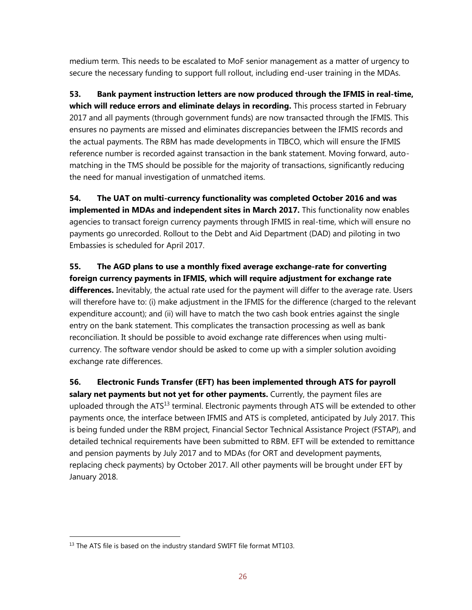medium term. This needs to be escalated to MoF senior management as a matter of urgency to secure the necessary funding to support full rollout, including end-user training in the MDAs.

**53. Bank payment instruction letters are now produced through the IFMIS in real-time, which will reduce errors and eliminate delays in recording.** This process started in February 2017 and all payments (through government funds) are now transacted through the IFMIS. This ensures no payments are missed and eliminates discrepancies between the IFMIS records and the actual payments. The RBM has made developments in TIBCO, which will ensure the IFMIS reference number is recorded against transaction in the bank statement. Moving forward, automatching in the TMS should be possible for the majority of transactions, significantly reducing the need for manual investigation of unmatched items.

**54. The UAT on multi-currency functionality was completed October 2016 and was implemented in MDAs and independent sites in March 2017.** This functionality now enables agencies to transact foreign currency payments through IFMIS in real-time, which will ensure no payments go unrecorded. Rollout to the Debt and Aid Department (DAD) and piloting in two Embassies is scheduled for April 2017.

**55. The AGD plans to use a monthly fixed average exchange-rate for converting foreign currency payments in IFMIS, which will require adjustment for exchange rate differences.** Inevitably, the actual rate used for the payment will differ to the average rate. Users will therefore have to: (i) make adjustment in the IFMIS for the difference (charged to the relevant expenditure account); and (ii) will have to match the two cash book entries against the single entry on the bank statement. This complicates the transaction processing as well as bank reconciliation. It should be possible to avoid exchange rate differences when using multicurrency. The software vendor should be asked to come up with a simpler solution avoiding exchange rate differences.

**56. Electronic Funds Transfer (EFT) has been implemented through ATS for payroll**  salary net payments but not yet for other payments. Currently, the payment files are uploaded through the  $ATS<sup>13</sup>$  terminal. Electronic payments through ATS will be extended to other payments once, the interface between IFMIS and ATS is completed, anticipated by July 2017. This is being funded under the RBM project, Financial Sector Technical Assistance Project (FSTAP), and detailed technical requirements have been submitted to RBM. EFT will be extended to remittance and pension payments by July 2017 and to MDAs (for ORT and development payments, replacing check payments) by October 2017. All other payments will be brought under EFT by January 2018.

<sup>&</sup>lt;sup>13</sup> The ATS file is based on the industry standard SWIFT file format MT103.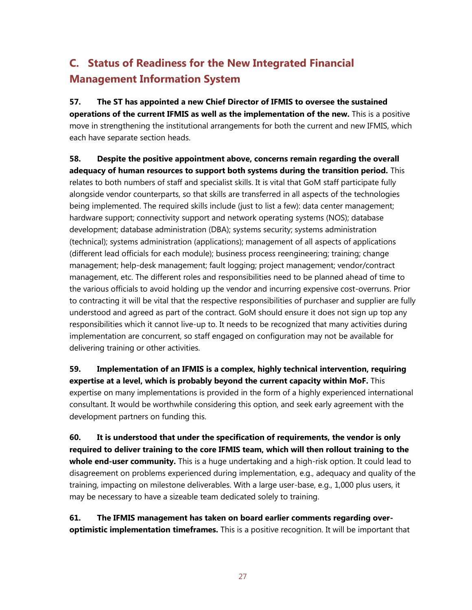## **C. Status of Readiness for the New Integrated Financial Management Information System**

**57. The ST has appointed a new Chief Director of IFMIS to oversee the sustained operations of the current IFMIS as well as the implementation of the new.** This is a positive move in strengthening the institutional arrangements for both the current and new IFMIS, which each have separate section heads.

**58. Despite the positive appointment above, concerns remain regarding the overall adequacy of human resources to support both systems during the transition period.** This relates to both numbers of staff and specialist skills. It is vital that GoM staff participate fully alongside vendor counterparts, so that skills are transferred in all aspects of the technologies being implemented. The required skills include (just to list a few): data center management; hardware support; connectivity support and network operating systems (NOS); database development; database administration (DBA); systems security; systems administration (technical); systems administration (applications); management of all aspects of applications (different lead officials for each module); business process reengineering; training; change management; help-desk management; fault logging; project management; vendor/contract management, etc. The different roles and responsibilities need to be planned ahead of time to the various officials to avoid holding up the vendor and incurring expensive cost-overruns. Prior to contracting it will be vital that the respective responsibilities of purchaser and supplier are fully understood and agreed as part of the contract. GoM should ensure it does not sign up top any responsibilities which it cannot live-up to. It needs to be recognized that many activities during implementation are concurrent, so staff engaged on configuration may not be available for delivering training or other activities.

**59. Implementation of an IFMIS is a complex, highly technical intervention, requiring expertise at a level, which is probably beyond the current capacity within MoF.** This expertise on many implementations is provided in the form of a highly experienced international consultant. It would be worthwhile considering this option, and seek early agreement with the development partners on funding this.

**60. It is understood that under the specification of requirements, the vendor is only required to deliver training to the core IFMIS team, which will then rollout training to the whole end-user community.** This is a huge undertaking and a high-risk option. It could lead to disagreement on problems experienced during implementation, e.g., adequacy and quality of the training, impacting on milestone deliverables. With a large user-base, e.g., 1,000 plus users, it may be necessary to have a sizeable team dedicated solely to training.

**61. The IFMIS management has taken on board earlier comments regarding overoptimistic implementation timeframes.** This is a positive recognition. It will be important that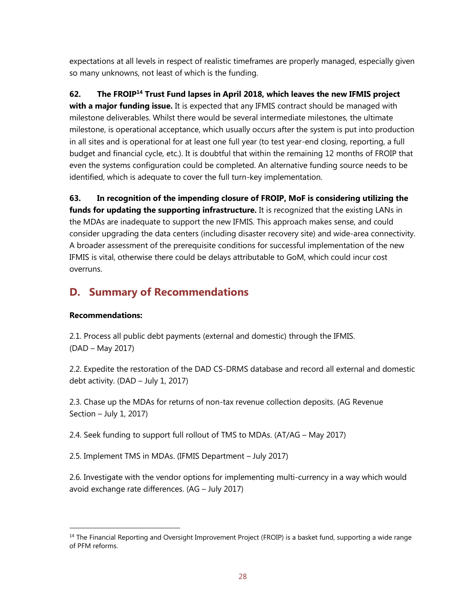expectations at all levels in respect of realistic timeframes are properly managed, especially given so many unknowns, not least of which is the funding.

**62. The FROIP<sup>14</sup> Trust Fund lapses in April 2018, which leaves the new IFMIS project with a major funding issue.** It is expected that any IFMIS contract should be managed with milestone deliverables. Whilst there would be several intermediate milestones, the ultimate milestone, is operational acceptance, which usually occurs after the system is put into production in all sites and is operational for at least one full year (to test year-end closing, reporting, a full budget and financial cycle, etc.). It is doubtful that within the remaining 12 months of FROIP that even the systems configuration could be completed. An alternative funding source needs to be identified, which is adequate to cover the full turn-key implementation.

**63. In recognition of the impending closure of FROIP, MoF is considering utilizing the funds for updating the supporting infrastructure.** It is recognized that the existing LANs in the MDAs are inadequate to support the new IFMIS. This approach makes sense, and could consider upgrading the data centers (including disaster recovery site) and wide-area connectivity. A broader assessment of the prerequisite conditions for successful implementation of the new IFMIS is vital, otherwise there could be delays attributable to GoM, which could incur cost overruns.

## **D. Summary of Recommendations**

### **Recommendations:**

 $\overline{a}$ 

2.1. Process all public debt payments (external and domestic) through the IFMIS. (DAD – May 2017)

2.2. Expedite the restoration of the DAD CS-DRMS database and record all external and domestic debt activity. (DAD – July 1, 2017)

2.3. Chase up the MDAs for returns of non-tax revenue collection deposits. (AG Revenue Section – July 1, 2017)

2.4. Seek funding to support full rollout of TMS to MDAs. (AT/AG – May 2017)

2.5. Implement TMS in MDAs. (IFMIS Department – July 2017)

2.6. Investigate with the vendor options for implementing multi-currency in a way which would avoid exchange rate differences. (AG – July 2017)

<sup>&</sup>lt;sup>14</sup> The Financial Reporting and Oversight Improvement Project (FROIP) is a basket fund, supporting a wide range of PFM reforms.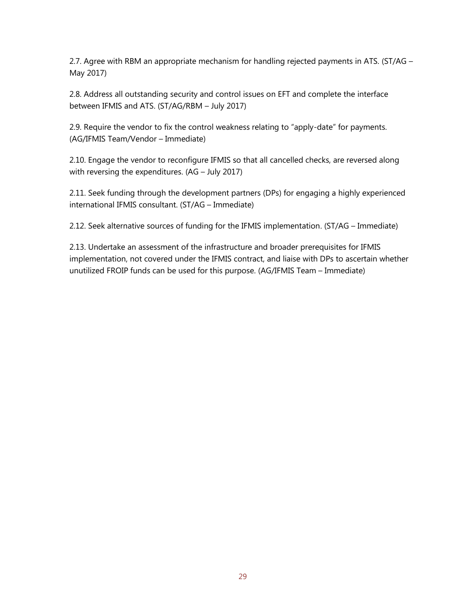2.7. Agree with RBM an appropriate mechanism for handling rejected payments in ATS. (ST/AG – May 2017)

2.8. Address all outstanding security and control issues on EFT and complete the interface between IFMIS and ATS. (ST/AG/RBM – July 2017)

2.9. Require the vendor to fix the control weakness relating to "apply-date" for payments. (AG/IFMIS Team/Vendor – Immediate)

2.10. Engage the vendor to reconfigure IFMIS so that all cancelled checks, are reversed along with reversing the expenditures. (AG – July 2017)

2.11. Seek funding through the development partners (DPs) for engaging a highly experienced international IFMIS consultant. (ST/AG – Immediate)

2.12. Seek alternative sources of funding for the IFMIS implementation. (ST/AG – Immediate)

2.13. Undertake an assessment of the infrastructure and broader prerequisites for IFMIS implementation, not covered under the IFMIS contract, and liaise with DPs to ascertain whether unutilized FROIP funds can be used for this purpose. (AG/IFMIS Team – Immediate)